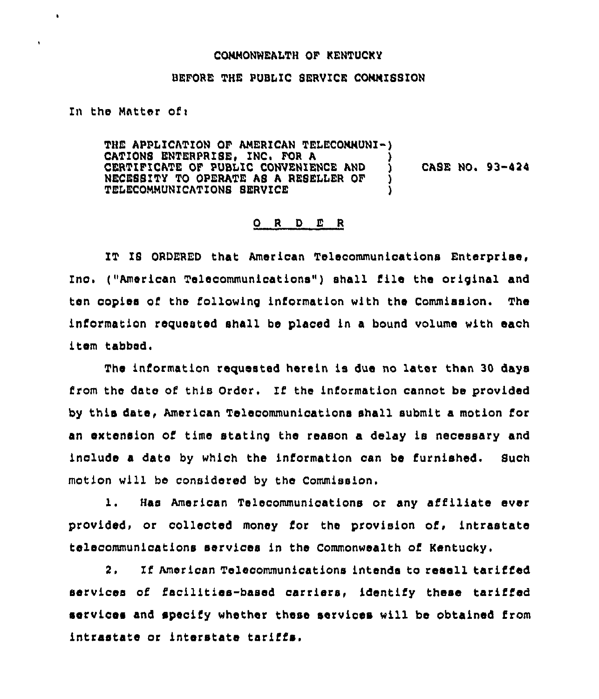## COMMONWEALTH OF KENTUCKY

## BEFORE THE PUBLIC SERVICE COMMISSION

In the Matter of <sup>i</sup>

 $\cdot$ 

ŧ

THE APPLICATION OF AMERICAN TELECOMMUNI-) CATIONS ENTERPRISE, INC. FOR A CERTIFICATE OF PUBLIC CONVENIENCE AND )<br>NECESSITY TO OPERATE AS A RESELLER OF ) NECESSITY TO OPERATE AS <sup>A</sup> RESELLER OF ) TELECOMMUNICATIONS SERVICE CASE NO. 93-424

## 0 <sup>R</sup> <sup>D</sup> E <sup>R</sup>

IT IS ORDERED that American Telecommunications Enterprise, Inc. ("American Telecommunications") shall file the original and ten copies of the following information with the Commission. The information requested shall be placed in a bound volume with each item tabbed.

The information requested herein is due no later than 30 days from the date of this Order. If the information cannot be provided by this date, American Telecommunications shall submit a motion for an extension of time statinp the reason a delay is necessary and include a date by which the information can be furnished. Such motion will be considered by the Commission.

l. Has American Telecommunications or any affiliate ever provided, or collected money for the provision of, intrastate telecommunications services in the Commonwealth of

If American Telecommunications intends to resell tariffed 2. services of facilities-based carriers, identify these tariffed services and specify whether these servioes will be obtained from intrastate or interstate tariffs,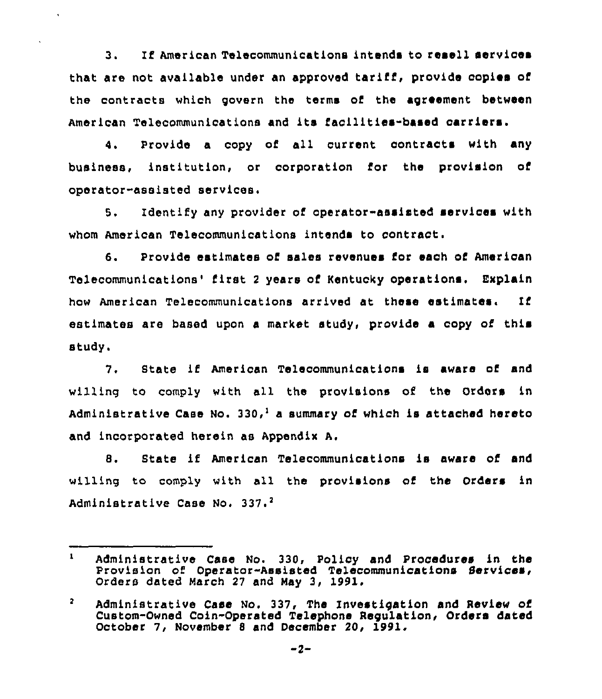3. If American Telecommunications intends to resell services that are not available under an approved tariff, provide copies of the contracts which govern the terms of the agreement betwee American Telecommunications and its facilities-based carriers.

4. Provide a copy of all current contracts with any business, institution, or corporation for the provision of operator-assisted services.

5. Identify any provider of operator-assisted services with whom American Telecommunications intends to contract.

6. Provide estimates of sales revenues for each of American Telecommunications'irst <sup>2</sup> years of Kentucky operations, Explain how American Telecommunications arrived at these estimates. If estimates are based upon a market study, provide a copy of this study.

7. State if American Telecommunications is aware of and willing to comply with all the provisions of the Orders in Administrative Case No. 330,<sup>1</sup> a summary of which is attached hereto and incorporated herein as Appendix A.

8. State if American Telecommunications is aware of and willing to comply with all the provisions of the Orders in Administrative Case No. 337.<sup>2</sup>

 $\mathbf{1}$ Administrative Case No. 330, Policy and Procedures in the Provision of Operator-Assisted Telecommunications Services, Orders dated March <sup>27</sup> and May 3, 1991.

 $\overline{2}$ Administrative Case No. 337, The Investigation and Review of Custom-Owned Coin-Operated Telephone Regulation, Orders dated October 7, November <sup>8</sup> and December 20, 1991.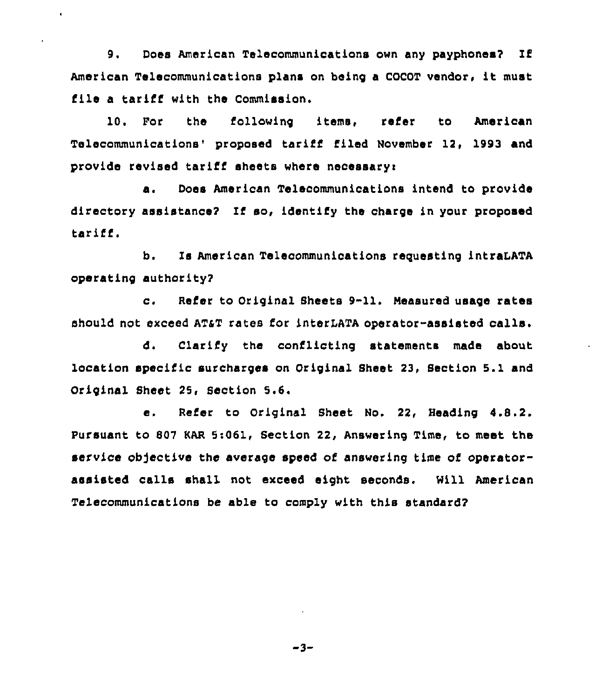9. Does American Telecommunications own any payphones? If American Telecommunications plans on being <sup>a</sup> COCOT vendor, it must file a tariff with the Commission.

 $\bullet$ 

10. For the following items, refer to American Telecommunications' proposed tariff filed November 12, 1993 and provide revised tariff sheets where necessary:

a. Does American Telecommunications intend to provide directory assistance? If so, identify the charge in your proposed tariff,

b. Is American Telecommunications requesting intraLATA operating authority?

c. Refer to Original Sheets 9-11. Neasured usage rates should not exceed AT&T rates for interLATA operator-assisted calls.

d. Clarify the conflicting statements made about location specific surcharges on Original Sheet 23, Section 5.1 and Original Sheet 25, Section 5.6.

e. Refer to Original Sheet No. 22, Heading 4.8.2. pursuant to 807 KAR 5s061, Section 22, Answering Time, to meet the service objective the average speed of answering time of operatorassisted calls shall not exceed eight seconds. Hill American Telecommunications be able to comply with this standard?

 $-3-$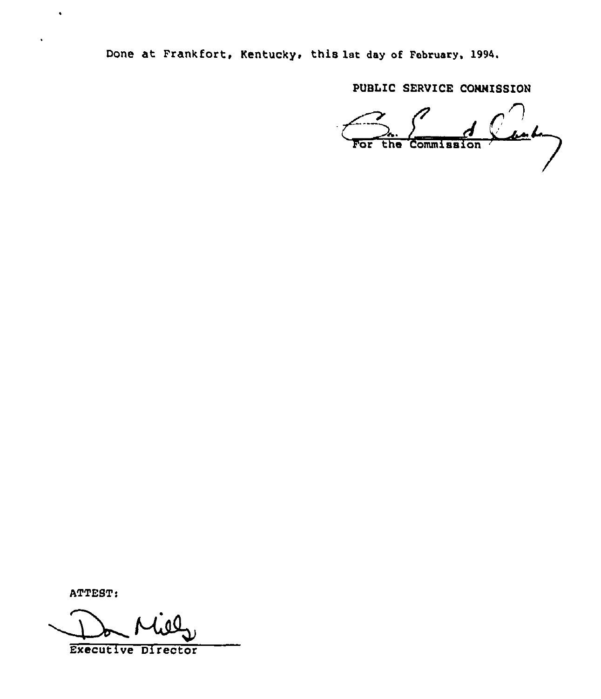Done at Frankfort, Kentucky, this 1st day of February, 1994.

PUBLIC SERVICE CONNISSION

 $\frac{1}{\sqrt{c}}\int_{\frac{c}{\sqrt{c}}} d\theta$ 

ATTEST:

 $\bullet$ 

 $\ddot{\phantom{0}}$ 

Executive Director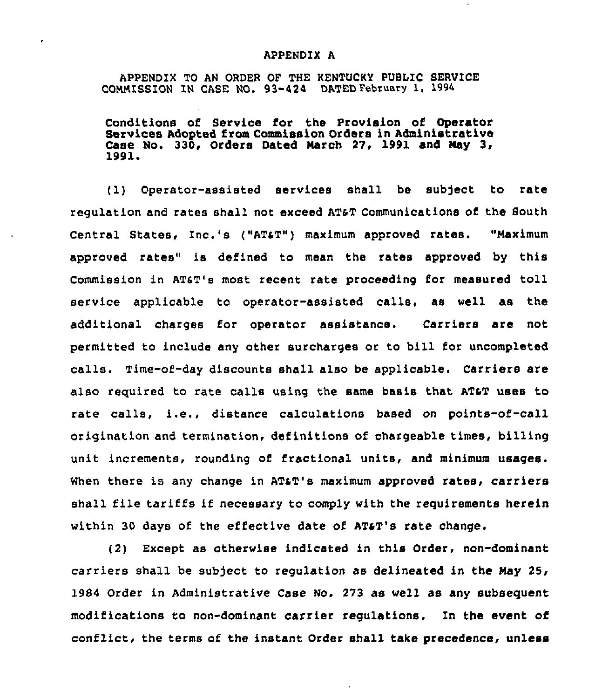## APPENDIX A

APPENDIX TO AN ORDER OF THE KENTUCKY PUBLIC SERVICE COMMISSION IN CASE NO. 93-424 DATED February 1, 1994

Conditions of Service for the Provision of Operator Services Adopted from Commission Orders in Administrative Case No. 330, Orders Dated Narch 27, 1991 and Nay 3, 1991<sup>~</sup>

(1) Operator-assisted services shall be subject to rate regulation and rates shall not exceed AT&T Communications of the South Central States, Inc.'s ("AT4T") maximum approved rates. "Maximum approved rates" is defined to mean the rates approved by this Commission in AT6T's most recent rate proceeding for measured toll service applicable to operator-assisted calls, as well as the additional charges for operator assistance. Carriers are not permitted to include any other surcharges or to bill for uncompleted calls. Time-of-day discounts shall also be applicable. Carriers are also required to rate calls using the same basis that AT&T uses to rate calls, i.e., distance calculations based on points-of-call origination and termination, definitions of chargeable times, billing unit increments, rounding of fractional units, and minimum usages. When there is any change in AT&T's maximum approved rates, carriers shall file tariffs if necessary to comply with the requirements herein within 30 days of the effective date of  $AT5T'S$  rate change.

(2) Except as Otherwise indicated in this Order, non-dominant carriers shall be subject to regulation as delineated in the Nay 25, 1984 Order in Administrative Case No. 273 as well as any subsequent modifications to non-dominant carrier regulations. In the event of conflict, the terms of the instant Order shall take precedence, unless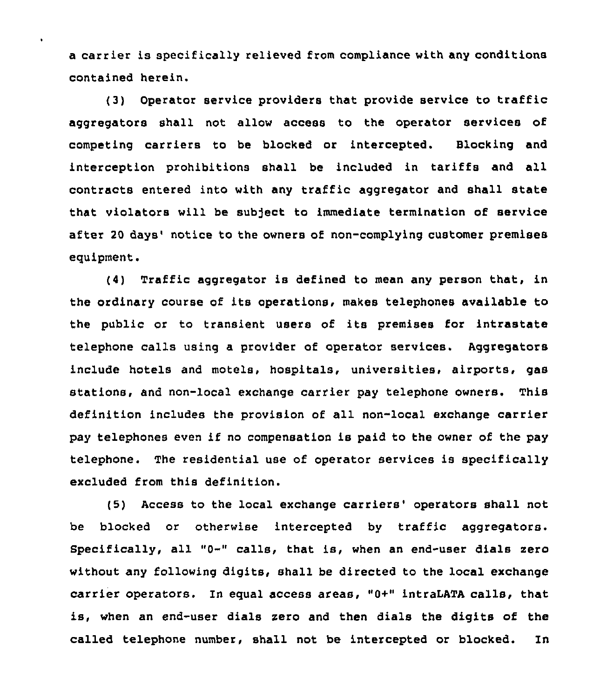a carrier is specifically relieved from compliance with any conditions contained herein.

l.

(3) Operator service providers that provide service to traffic aggregators shall not allow access to the operator services of competing carriers to be blocked or intercepted. Blocking and interception prohibitions shall be included in tariffs and all contracts entered into with any traffic aggregator and shall state that violators will be subject to immediate termination of service after 20 days' notice to the owners of non-complying customer premises equipment.

(4) Traffic aggregator is defined to mean any person that, in the ordinary course of its operations, makes telephones available to the public or to transient users of its premises for intrastate telephone calls using a provider of operator services. Aggregators include hotels and motels, hospitals, universities, airports, gas stations, and non-local exchange carrier pay telephone owners. This definition includes the provision of all non-local exchange carrier pay telephones even if no compensation is paid to the owner of the pay telephone. The residential use of operator services is specifically excluded from this definition.

(5) Access to the local exchange carriers' operators shall not be blocked or otherwise intercepted by traffic aggregators. Specifically, all "0-" calls, that is, when an end-user dials zero without any following digits, shall be directed to the local exchange carrier operators. In equal access areas, "0+" intraLATA calls, that is, when an end-user dials zero and then dials the digits of the called telephone number, shall not be intercepted or blocked. In